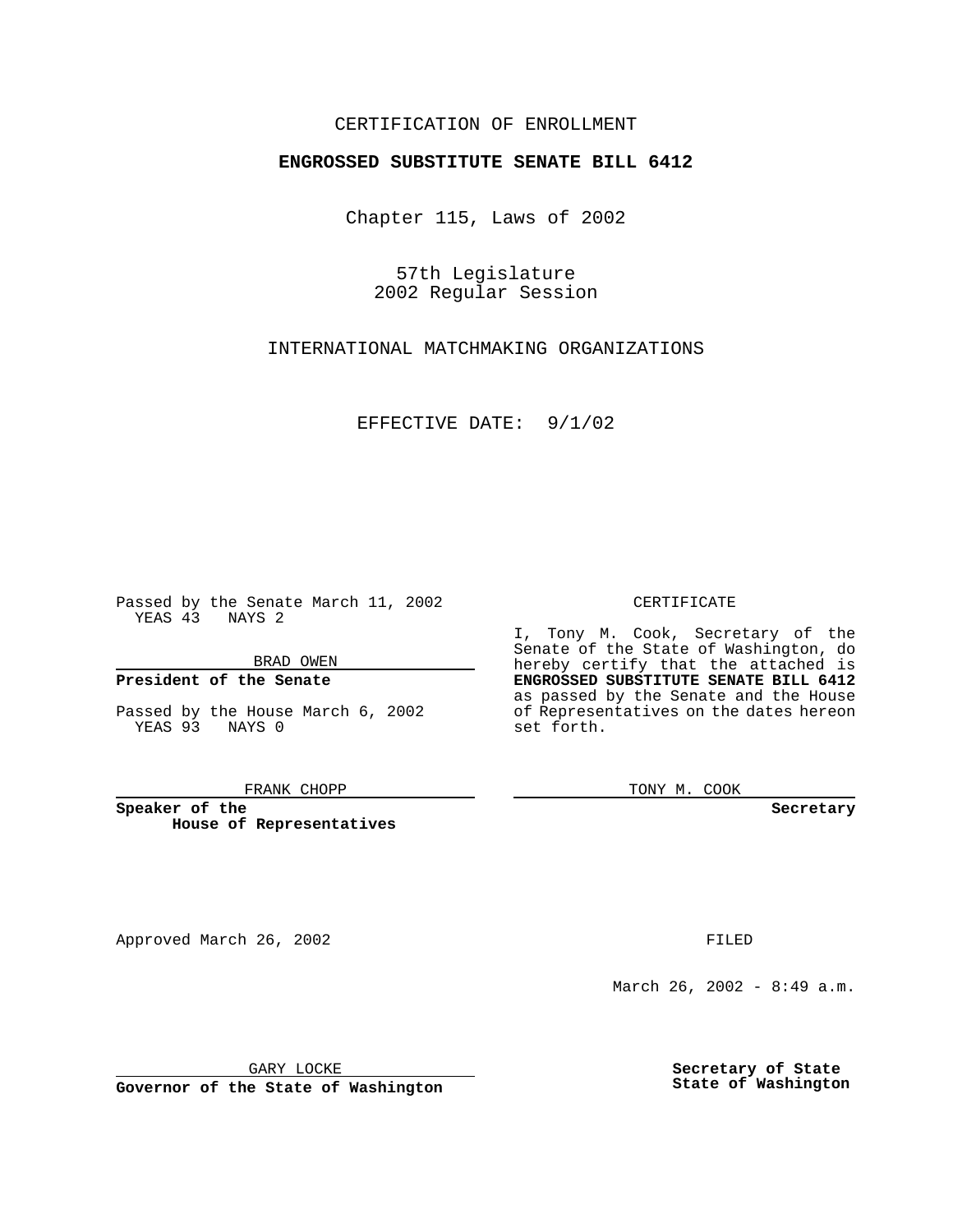### CERTIFICATION OF ENROLLMENT

# **ENGROSSED SUBSTITUTE SENATE BILL 6412**

Chapter 115, Laws of 2002

57th Legislature 2002 Regular Session

INTERNATIONAL MATCHMAKING ORGANIZATIONS

EFFECTIVE DATE: 9/1/02

Passed by the Senate March 11, 2002 YEAS 43 NAYS 2

BRAD OWEN

### **President of the Senate**

Passed by the House March 6, 2002 YEAS 93 NAYS 0

#### FRANK CHOPP

**Speaker of the House of Representatives** CERTIFICATE

I, Tony M. Cook, Secretary of the Senate of the State of Washington, do hereby certify that the attached is **ENGROSSED SUBSTITUTE SENATE BILL 6412** as passed by the Senate and the House of Representatives on the dates hereon set forth.

TONY M. COOK

**Secretary**

Approved March 26, 2002 **FILED** 

March 26, 2002 - 8:49 a.m.

GARY LOCKE

**Governor of the State of Washington**

**Secretary of State State of Washington**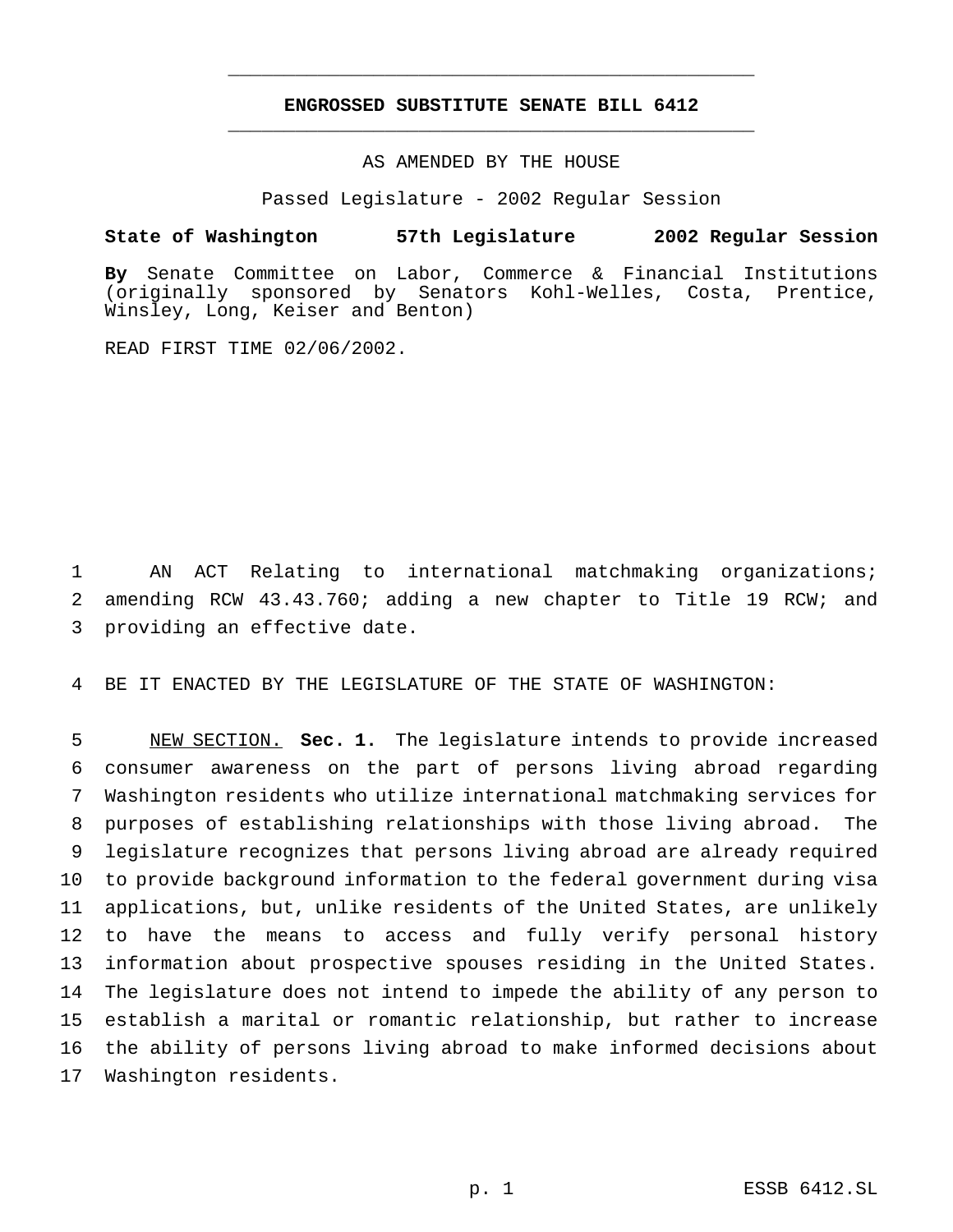## **ENGROSSED SUBSTITUTE SENATE BILL 6412** \_\_\_\_\_\_\_\_\_\_\_\_\_\_\_\_\_\_\_\_\_\_\_\_\_\_\_\_\_\_\_\_\_\_\_\_\_\_\_\_\_\_\_\_\_\_\_

\_\_\_\_\_\_\_\_\_\_\_\_\_\_\_\_\_\_\_\_\_\_\_\_\_\_\_\_\_\_\_\_\_\_\_\_\_\_\_\_\_\_\_\_\_\_\_

## AS AMENDED BY THE HOUSE

Passed Legislature - 2002 Regular Session

### **State of Washington 57th Legislature 2002 Regular Session**

**By** Senate Committee on Labor, Commerce & Financial Institutions (originally sponsored by Senators Kohl-Welles, Costa, Prentice, Winsley, Long, Keiser and Benton)

READ FIRST TIME 02/06/2002.

 AN ACT Relating to international matchmaking organizations; amending RCW 43.43.760; adding a new chapter to Title 19 RCW; and providing an effective date.

BE IT ENACTED BY THE LEGISLATURE OF THE STATE OF WASHINGTON:

 NEW SECTION. **Sec. 1.** The legislature intends to provide increased consumer awareness on the part of persons living abroad regarding Washington residents who utilize international matchmaking services for purposes of establishing relationships with those living abroad. The legislature recognizes that persons living abroad are already required to provide background information to the federal government during visa applications, but, unlike residents of the United States, are unlikely to have the means to access and fully verify personal history information about prospective spouses residing in the United States. The legislature does not intend to impede the ability of any person to establish a marital or romantic relationship, but rather to increase the ability of persons living abroad to make informed decisions about Washington residents.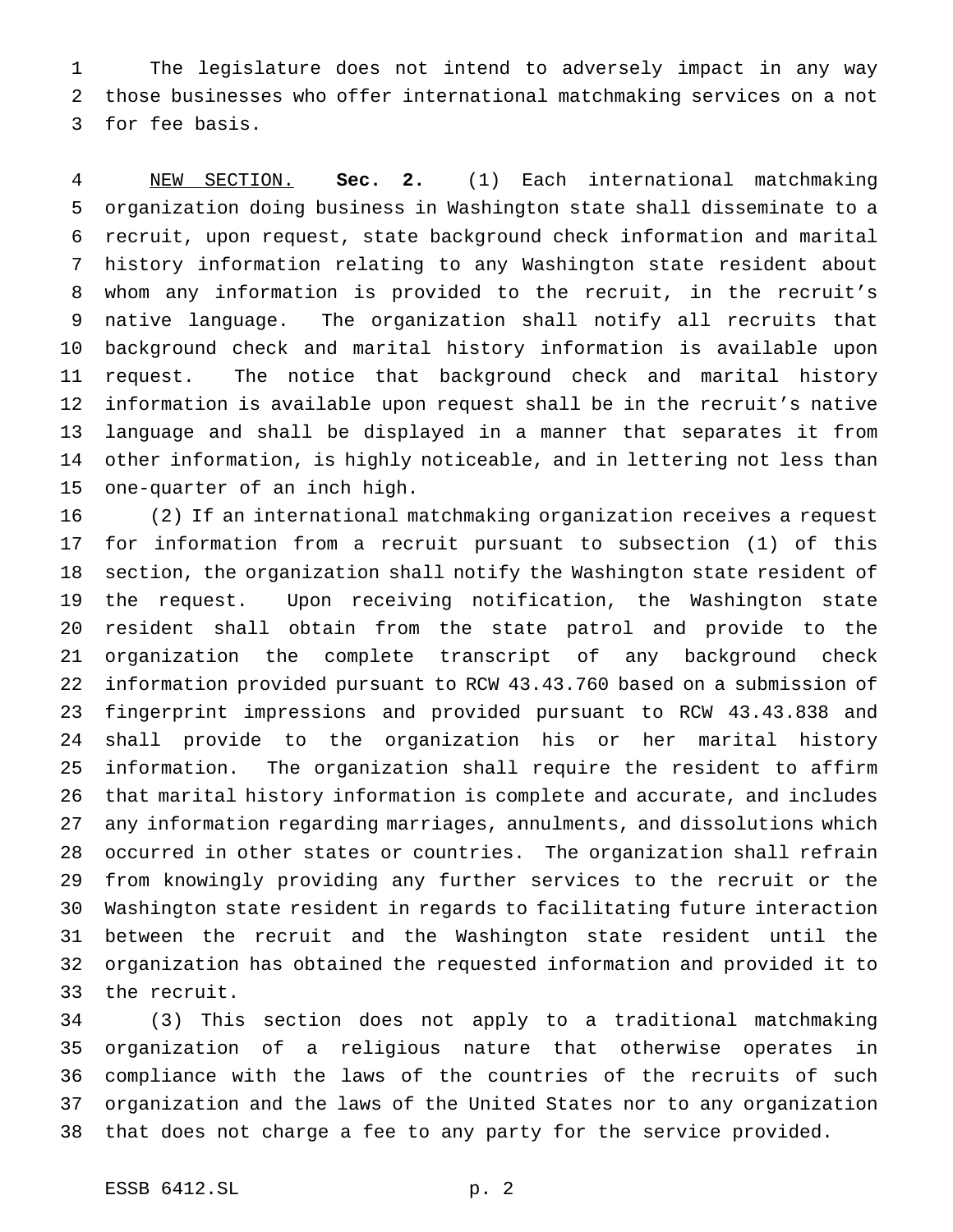The legislature does not intend to adversely impact in any way those businesses who offer international matchmaking services on a not for fee basis.

 NEW SECTION. **Sec. 2.** (1) Each international matchmaking organization doing business in Washington state shall disseminate to a recruit, upon request, state background check information and marital history information relating to any Washington state resident about whom any information is provided to the recruit, in the recruit's native language. The organization shall notify all recruits that background check and marital history information is available upon request. The notice that background check and marital history information is available upon request shall be in the recruit's native language and shall be displayed in a manner that separates it from other information, is highly noticeable, and in lettering not less than one-quarter of an inch high.

 (2) If an international matchmaking organization receives a request for information from a recruit pursuant to subsection (1) of this section, the organization shall notify the Washington state resident of the request. Upon receiving notification, the Washington state resident shall obtain from the state patrol and provide to the organization the complete transcript of any background check information provided pursuant to RCW 43.43.760 based on a submission of fingerprint impressions and provided pursuant to RCW 43.43.838 and shall provide to the organization his or her marital history information. The organization shall require the resident to affirm that marital history information is complete and accurate, and includes any information regarding marriages, annulments, and dissolutions which occurred in other states or countries. The organization shall refrain from knowingly providing any further services to the recruit or the Washington state resident in regards to facilitating future interaction between the recruit and the Washington state resident until the organization has obtained the requested information and provided it to the recruit.

 (3) This section does not apply to a traditional matchmaking organization of a religious nature that otherwise operates in compliance with the laws of the countries of the recruits of such organization and the laws of the United States nor to any organization that does not charge a fee to any party for the service provided.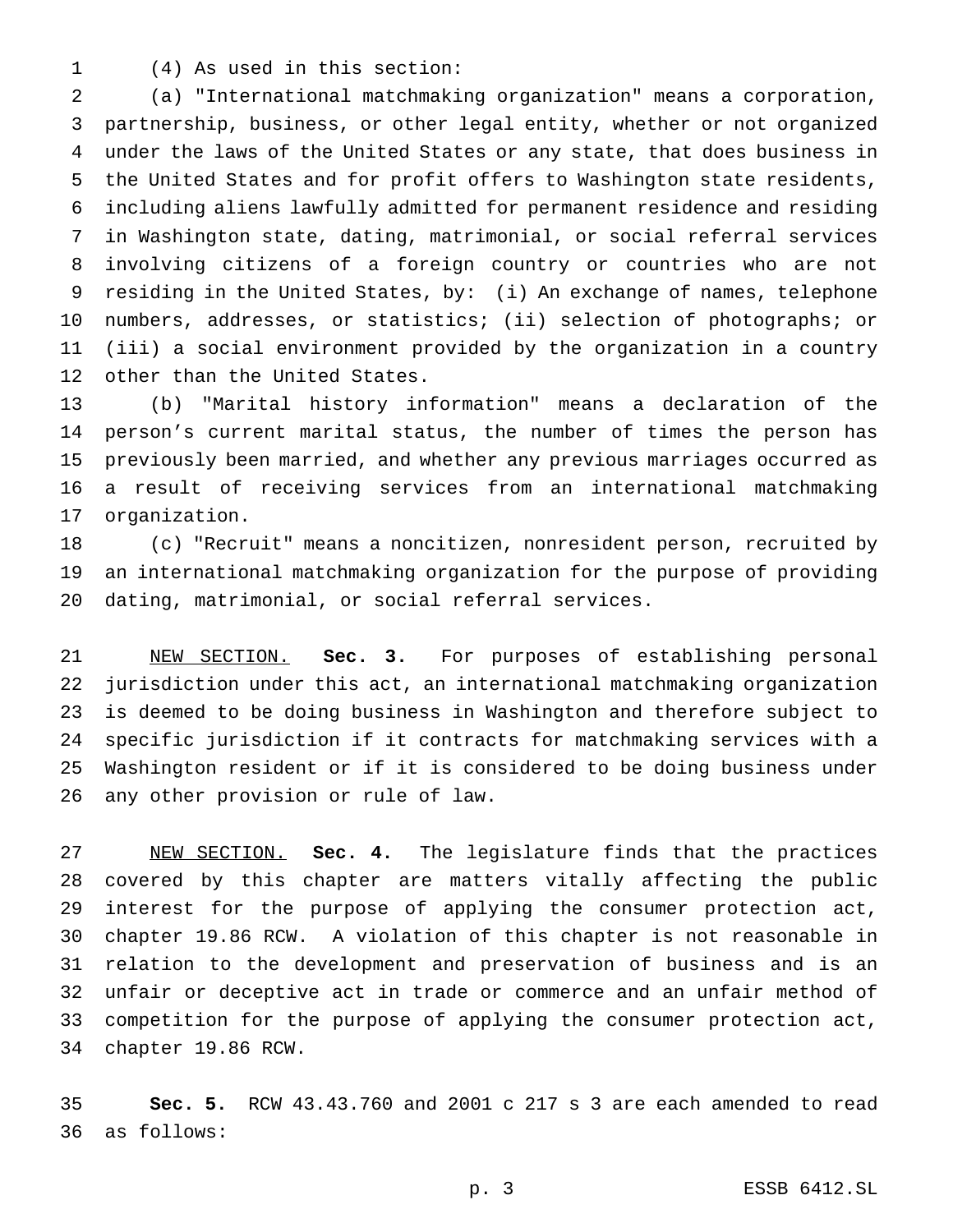(4) As used in this section:

 (a) "International matchmaking organization" means a corporation, partnership, business, or other legal entity, whether or not organized under the laws of the United States or any state, that does business in the United States and for profit offers to Washington state residents, including aliens lawfully admitted for permanent residence and residing in Washington state, dating, matrimonial, or social referral services involving citizens of a foreign country or countries who are not residing in the United States, by: (i) An exchange of names, telephone numbers, addresses, or statistics; (ii) selection of photographs; or (iii) a social environment provided by the organization in a country other than the United States.

 (b) "Marital history information" means a declaration of the person's current marital status, the number of times the person has previously been married, and whether any previous marriages occurred as a result of receiving services from an international matchmaking organization.

 (c) "Recruit" means a noncitizen, nonresident person, recruited by an international matchmaking organization for the purpose of providing dating, matrimonial, or social referral services.

 NEW SECTION. **Sec. 3.** For purposes of establishing personal jurisdiction under this act, an international matchmaking organization is deemed to be doing business in Washington and therefore subject to specific jurisdiction if it contracts for matchmaking services with a Washington resident or if it is considered to be doing business under any other provision or rule of law.

 NEW SECTION. **Sec. 4.** The legislature finds that the practices covered by this chapter are matters vitally affecting the public interest for the purpose of applying the consumer protection act, chapter 19.86 RCW. A violation of this chapter is not reasonable in relation to the development and preservation of business and is an unfair or deceptive act in trade or commerce and an unfair method of competition for the purpose of applying the consumer protection act, chapter 19.86 RCW.

 **Sec. 5.** RCW 43.43.760 and 2001 c 217 s 3 are each amended to read as follows: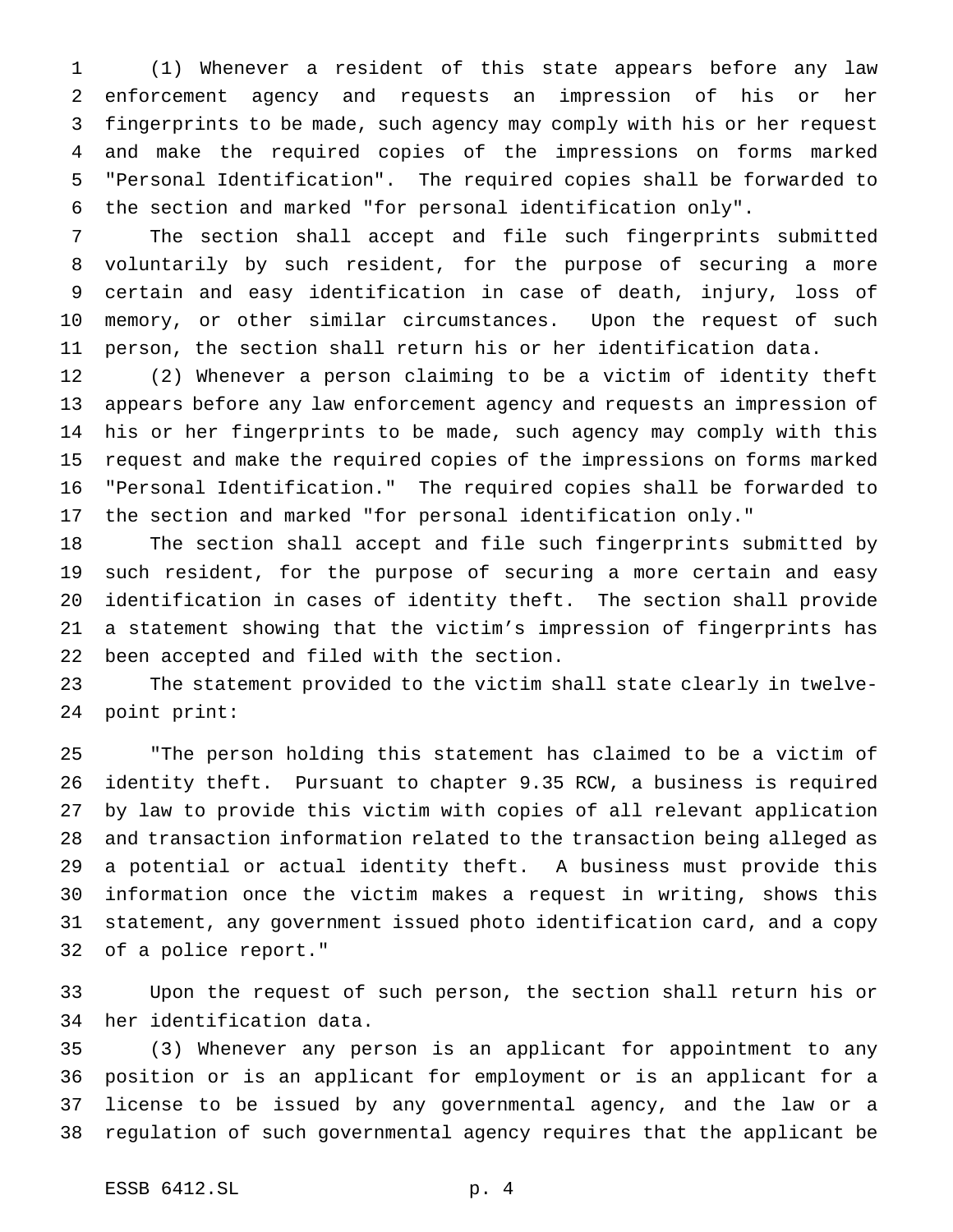(1) Whenever a resident of this state appears before any law enforcement agency and requests an impression of his or her fingerprints to be made, such agency may comply with his or her request and make the required copies of the impressions on forms marked "Personal Identification". The required copies shall be forwarded to the section and marked "for personal identification only".

 The section shall accept and file such fingerprints submitted voluntarily by such resident, for the purpose of securing a more certain and easy identification in case of death, injury, loss of memory, or other similar circumstances. Upon the request of such person, the section shall return his or her identification data.

 (2) Whenever a person claiming to be a victim of identity theft appears before any law enforcement agency and requests an impression of his or her fingerprints to be made, such agency may comply with this request and make the required copies of the impressions on forms marked "Personal Identification." The required copies shall be forwarded to the section and marked "for personal identification only."

 The section shall accept and file such fingerprints submitted by such resident, for the purpose of securing a more certain and easy identification in cases of identity theft. The section shall provide a statement showing that the victim's impression of fingerprints has been accepted and filed with the section.

 The statement provided to the victim shall state clearly in twelve-point print:

 "The person holding this statement has claimed to be a victim of identity theft. Pursuant to chapter 9.35 RCW, a business is required by law to provide this victim with copies of all relevant application and transaction information related to the transaction being alleged as a potential or actual identity theft. A business must provide this information once the victim makes a request in writing, shows this statement, any government issued photo identification card, and a copy of a police report."

 Upon the request of such person, the section shall return his or her identification data.

 (3) Whenever any person is an applicant for appointment to any position or is an applicant for employment or is an applicant for a license to be issued by any governmental agency, and the law or a regulation of such governmental agency requires that the applicant be